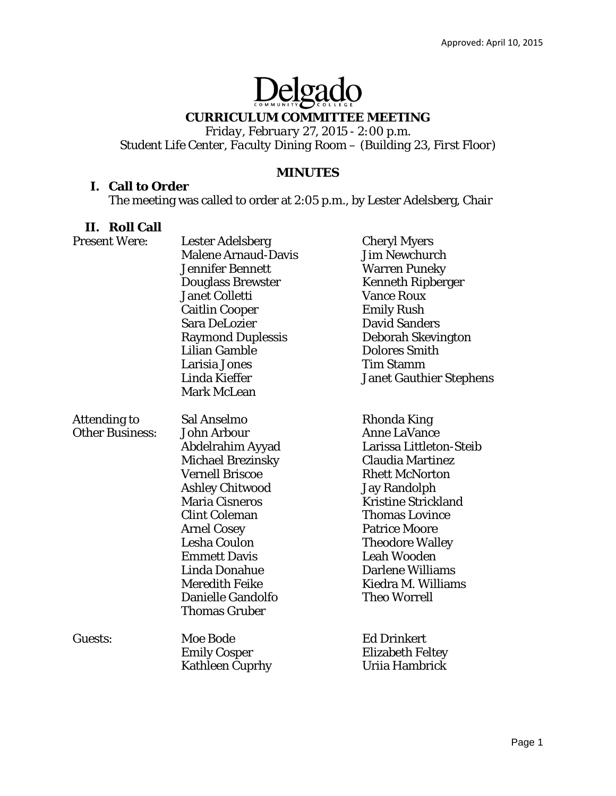# Delgado

# **CURRICULUM COMMITTEE MEETING**

*Friday, February 27, 2015 - 2:00 p.m. Student Life Center, Faculty Dining Room – (Building 23, First Floor)* 

## **MINUTES**

## **I. Call to Order**

The meeting was called to order at 2:05 p.m., by Lester Adelsberg, Chair

## **II. Roll Call**

| <b>Present Were:</b>                          | <b>Lester Adelsberg</b><br><b>Malene Arnaud-Davis</b><br><b>Jennifer Bennett</b><br><b>Douglass Brewster</b><br><b>Janet Colletti</b><br><b>Caitlin Cooper</b><br>Sara DeLozier<br><b>Raymond Duplessis</b><br><b>Lilian Gamble</b><br><b>Larisia Jones</b><br>Linda Kieffer<br><b>Mark McLean</b>                                                       | <b>Cheryl Myers</b><br><b>Jim Newchurch</b><br><b>Warren Puneky</b><br><b>Kenneth Ripberger</b><br><b>Vance Roux</b><br><b>Emily Rush</b><br><b>David Sanders</b><br>Deborah Skevington<br><b>Dolores Smith</b><br><b>Tim Stamm</b><br><b>Janet Gauthier Stephens</b>                                                                    |
|-----------------------------------------------|----------------------------------------------------------------------------------------------------------------------------------------------------------------------------------------------------------------------------------------------------------------------------------------------------------------------------------------------------------|------------------------------------------------------------------------------------------------------------------------------------------------------------------------------------------------------------------------------------------------------------------------------------------------------------------------------------------|
| <b>Attending to</b><br><b>Other Business:</b> | Sal Anselmo<br><b>John Arbour</b><br>Abdelrahim Ayyad<br><b>Michael Brezinsky</b><br><b>Vernell Briscoe</b><br><b>Ashley Chitwood</b><br><b>Maria Cisneros</b><br><b>Clint Coleman</b><br><b>Arnel Cosey</b><br><b>Lesha Coulon</b><br><b>Emmett Davis</b><br>Linda Donahue<br><b>Meredith Feike</b><br><b>Danielle Gandolfo</b><br><b>Thomas Gruber</b> | Rhonda King<br><b>Anne LaVance</b><br>Larissa Littleton-Steib<br><b>Claudia Martinez</b><br><b>Rhett McNorton</b><br><b>Jay Randolph</b><br><b>Kristine Strickland</b><br><b>Thomas Lovince</b><br><b>Patrice Moore</b><br><b>Theodore Walley</b><br><b>Leah Wooden</b><br>Darlene Williams<br>Kiedra M. Williams<br><b>Theo Worrell</b> |
| Guests:                                       | <b>Moe Bode</b><br><b>Emily Cosper</b><br><b>Kathleen Cuprhy</b>                                                                                                                                                                                                                                                                                         | <b>Ed Drinkert</b><br><b>Elizabeth Feltey</b><br>Uriia Hambrick                                                                                                                                                                                                                                                                          |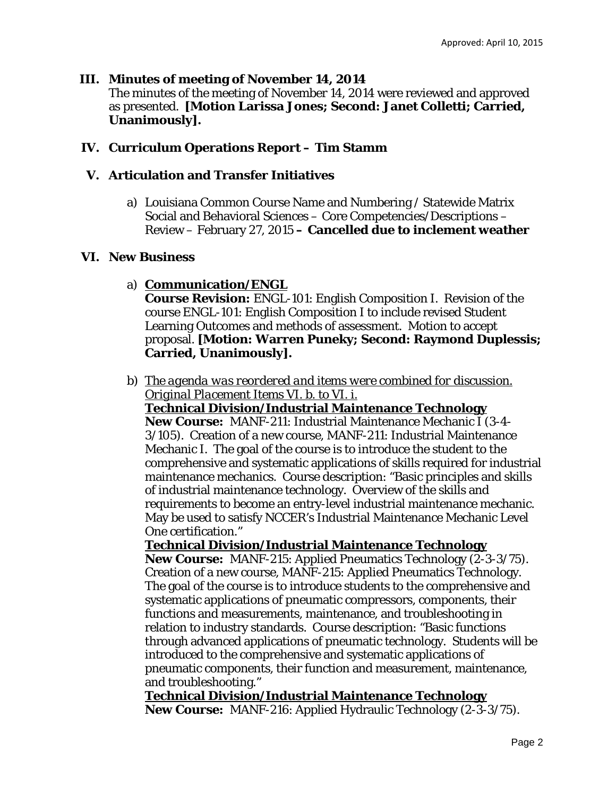## **III. Minutes of meeting of November 14, 2014**

The minutes of the meeting of November 14, 2014 were reviewed and approved as presented. **[Motion Larissa Jones; Second: Janet Colletti; Carried, Unanimously].** 

# **IV. Curriculum Operations Report – Tim Stamm**

## **V. Articulation and Transfer Initiatives**

a) Louisiana Common Course Name and Numbering / Statewide Matrix Social and Behavioral Sciences – Core Competencies/Descriptions – Review – February 27, 2015 **– Cancelled due to inclement weather**

## **VI. New Business**

a) **Communication/ENGL** 

**Course Revision:** ENGL-101: English Composition I. Revision of the course ENGL-101: English Composition I to include revised Student Learning Outcomes and methods of assessment. Motion to accept proposal. **[Motion: Warren Puneky; Second: Raymond Duplessis; Carried, Unanimously].** 

b) *The agenda was reordered and items were combined for discussion. Original Placement Items VI. b. to VI. i.* 

**Technical Division/Industrial Maintenance Technology New Course:** MANF-211: Industrial Maintenance Mechanic I (3-4- 3/105). Creation of a new course, MANF-211: Industrial Maintenance Mechanic I. The goal of the course is to introduce the student to the comprehensive and systematic applications of skills required for industrial maintenance mechanics. Course description: "Basic principles and skills of industrial maintenance technology. Overview of the skills and requirements to become an entry-level industrial maintenance mechanic. May be used to satisfy NCCER's Industrial Maintenance Mechanic Level One certification."

**Technical Division/Industrial Maintenance Technology New Course:** MANF-215: Applied Pneumatics Technology (2-3-3/75). Creation of a new course, MANF-215: Applied Pneumatics Technology. The goal of the course is to introduce students to the comprehensive and systematic applications of pneumatic compressors, components, their functions and measurements, maintenance, and troubleshooting in relation to industry standards. Course description: "Basic functions through advanced applications of pneumatic technology. Students will be introduced to the comprehensive and systematic applications of pneumatic components, their function and measurement, maintenance, and troubleshooting."

**Technical Division/Industrial Maintenance Technology New Course:** MANF-216: Applied Hydraulic Technology (2-3-3/75).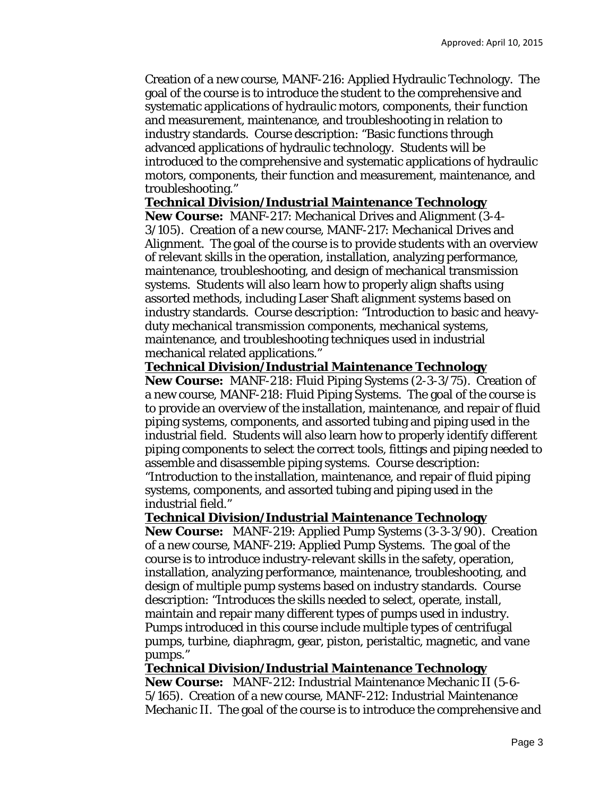Creation of a new course, MANF-216: Applied Hydraulic Technology. The goal of the course is to introduce the student to the comprehensive and systematic applications of hydraulic motors, components, their function and measurement, maintenance, and troubleshooting in relation to industry standards. Course description: "Basic functions through advanced applications of hydraulic technology. Students will be introduced to the comprehensive and systematic applications of hydraulic motors, components, their function and measurement, maintenance, and troubleshooting."

#### **Technical Division/Industrial Maintenance Technology**

**New Course:** MANF-217: Mechanical Drives and Alignment (3-4- 3/105). Creation of a new course, MANF-217: Mechanical Drives and Alignment. The goal of the course is to provide students with an overview of relevant skills in the operation, installation, analyzing performance, maintenance, troubleshooting, and design of mechanical transmission systems. Students will also learn how to properly align shafts using assorted methods, including Laser Shaft alignment systems based on industry standards. Course description: "Introduction to basic and heavyduty mechanical transmission components, mechanical systems, maintenance, and troubleshooting techniques used in industrial mechanical related applications."

### **Technical Division/Industrial Maintenance Technology**

**New Course:** MANF-218: Fluid Piping Systems (2-3-3/75). Creation of a new course, MANF-218: Fluid Piping Systems. The goal of the course is to provide an overview of the installation, maintenance, and repair of fluid piping systems, components, and assorted tubing and piping used in the industrial field. Students will also learn how to properly identify different piping components to select the correct tools, fittings and piping needed to assemble and disassemble piping systems. Course description: "Introduction to the installation, maintenance, and repair of fluid piping systems, components, and assorted tubing and piping used in the industrial field."

### **Technical Division/Industrial Maintenance Technology**

**New Course:** MANF-219: Applied Pump Systems (3-3-3/90). Creation of a new course, MANF-219: Applied Pump Systems. The goal of the course is to introduce industry-relevant skills in the safety, operation, installation, analyzing performance, maintenance, troubleshooting, and design of multiple pump systems based on industry standards. Course description: "Introduces the skills needed to select, operate, install, maintain and repair many different types of pumps used in industry. Pumps introduced in this course include multiple types of centrifugal pumps, turbine, diaphragm, gear, piston, peristaltic, magnetic, and vane pumps."

### **Technical Division/Industrial Maintenance Technology**

**New Course:** MANF-212: Industrial Maintenance Mechanic II (5-6- 5/165). Creation of a new course, MANF-212: Industrial Maintenance Mechanic II. The goal of the course is to introduce the comprehensive and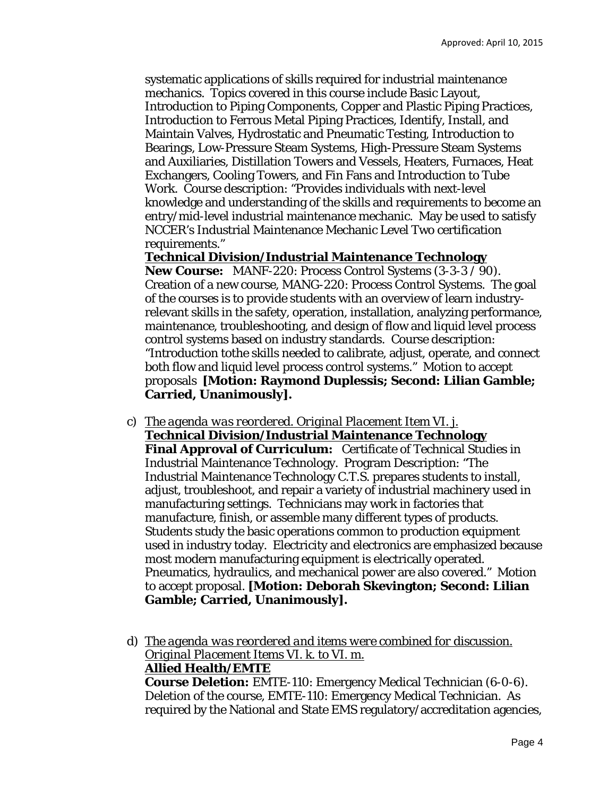systematic applications of skills required for industrial maintenance mechanics. Topics covered in this course include Basic Layout, Introduction to Piping Components, Copper and Plastic Piping Practices, Introduction to Ferrous Metal Piping Practices, Identify, Install, and Maintain Valves, Hydrostatic and Pneumatic Testing, Introduction to Bearings, Low-Pressure Steam Systems, High-Pressure Steam Systems and Auxiliaries, Distillation Towers and Vessels, Heaters, Furnaces, Heat Exchangers, Cooling Towers, and Fin Fans and Introduction to Tube Work. Course description: "Provides individuals with next-level knowledge and understanding of the skills and requirements to become an entry/mid-level industrial maintenance mechanic. May be used to satisfy NCCER's Industrial Maintenance Mechanic Level Two certification requirements."

### **Technical Division/Industrial Maintenance Technology**

**New Course:** MANF-220: Process Control Systems (3-3-3 / 90). Creation of a new course, MANG-220: Process Control Systems. The goal of the courses is to provide students with an overview of learn industryrelevant skills in the safety, operation, installation, analyzing performance, maintenance, troubleshooting, and design of flow and liquid level process control systems based on industry standards.Course description: "Introduction tothe skills needed to calibrate, adjust, operate, and connect both flow and liquid level process control systems." Motion to accept proposals **[Motion: Raymond Duplessis; Second: Lilian Gamble; Carried, Unanimously].** 

- c) *The agenda was reordered. Original Placement Item VI. j.*  **Technical Division/Industrial Maintenance Technology Final Approval of Curriculum:** Certificate of Technical Studies in Industrial Maintenance Technology. Program Description: "The Industrial Maintenance Technology C.T.S. prepares students to install, adjust, troubleshoot, and repair a variety of industrial machinery used in manufacturing settings. Technicians may work in factories that manufacture, finish, or assemble many different types of products. Students study the basic operations common to production equipment used in industry today. Electricity and electronics are emphasized because most modern manufacturing equipment is electrically operated. Pneumatics, hydraulics, and mechanical power are also covered." Motion to accept proposal. **[Motion: Deborah Skevington; Second: Lilian Gamble; Carried, Unanimously].**
- d) *The agenda was reordered and items were combined for discussion. Original Placement Items VI. k. to VI. m.*  **Allied Health/EMTE Course Deletion:** EMTE-110: Emergency Medical Technician (6-0-6).

Deletion of the course, EMTE-110: Emergency Medical Technician. As required by the National and State EMS regulatory/accreditation agencies,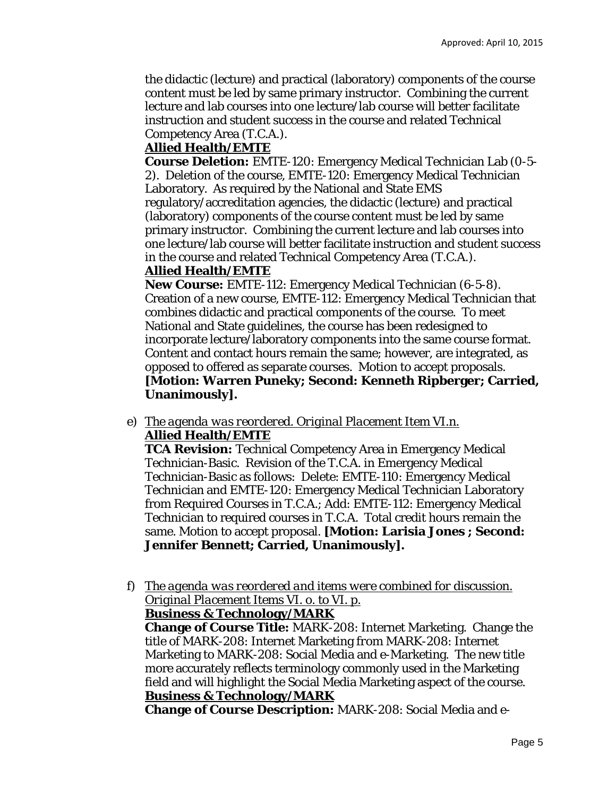the didactic (lecture) and practical (laboratory) components of the course content must be led by same primary instructor. Combining the current lecture and lab courses into one lecture/lab course will better facilitate instruction and student success in the course and related Technical Competency Area (T.C.A.).

### **Allied Health/EMTE**

**Course Deletion:** EMTE-120: Emergency Medical Technician Lab (0-5- 2). Deletion of the course, EMTE-120: Emergency Medical Technician Laboratory. As required by the National and State EMS regulatory/accreditation agencies, the didactic (lecture) and practical (laboratory) components of the course content must be led by same primary instructor. Combining the current lecture and lab courses into one lecture/lab course will better facilitate instruction and student success in the course and related Technical Competency Area (T.C.A.).

### **Allied Health/EMTE**

**New Course:** EMTE-112: Emergency Medical Technician (6-5-8). Creation of a new course, EMTE-112: Emergency Medical Technician that combines didactic and practical components of the course. To meet National and State guidelines, the course has been redesigned to incorporate lecture/laboratory components into the same course format. Content and contact hours remain the same; however, are integrated, as opposed to offered as separate courses. Motion to accept proposals. **[Motion: Warren Puneky; Second: Kenneth Ripberger; Carried, Unanimously].** 

e) *The agenda was reordered. Original Placement Item VI.n.*  **Allied Health/EMTE** 

**TCA Revision:** Technical Competency Area in Emergency Medical Technician-Basic. Revision of the T.C.A. in Emergency Medical Technician-Basic as follows: Delete: EMTE-110: Emergency Medical Technician and EMTE-120: Emergency Medical Technician Laboratory from Required Courses in T.C.A.; Add: EMTE-112: Emergency Medical Technician to required courses in T.C.A. Total credit hours remain the same. Motion to accept proposal. **[Motion: Larisia Jones ; Second: Jennifer Bennett; Carried, Unanimously].** 

f) *The agenda was reordered and items were combined for discussion. Original Placement Items VI. o. to VI. p.* 

**Business & Technology/MARK** 

**Change of Course Title:** MARK-208: Internet Marketing. Change the title of MARK-208: Internet Marketing *from* MARK-208: Internet Marketing *to* MARK-208: Social Media and e-Marketing. The new title more accurately reflects terminology commonly used in the Marketing field and will highlight the Social Media Marketing aspect of the course. **Business & Technology/MARK** 

**Change of Course Description:** MARK-208: Social Media and e-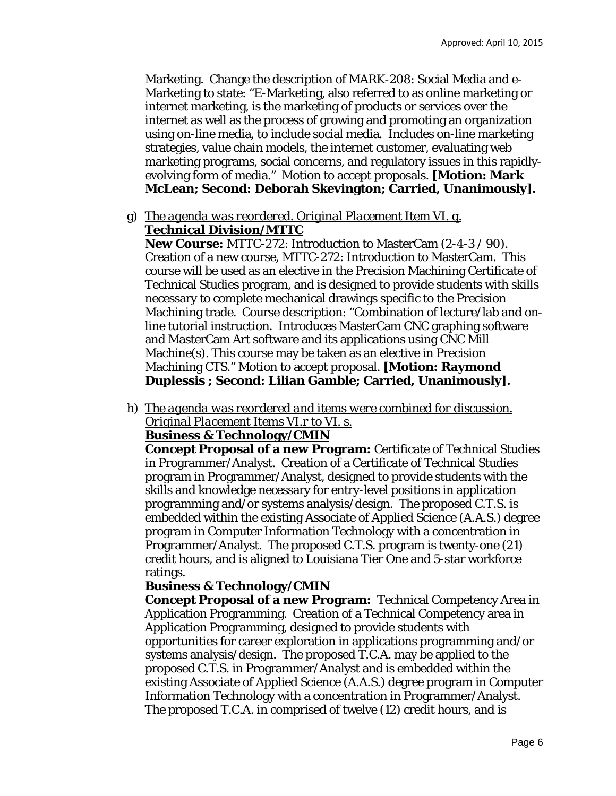Marketing. Change the description of MARK-208: Social Media and e-Marketing to state: "E-Marketing, also referred to as online marketing or internet marketing, is the marketing of products or services over the internet as well as the process of growing and promoting an organization using on-line media, to include social media. Includes on-line marketing strategies, value chain models, the internet customer, evaluating web marketing programs, social concerns, and regulatory issues in this rapidlyevolving form of media." Motion to accept proposals. **[Motion: Mark McLean; Second: Deborah Skevington; Carried, Unanimously].** 

g) *The agenda was reordered. Original Placement Item VI. q.*  **Technical Division/MTTC** 

**New Course:** MTTC-272: Introduction to MasterCam (2-4-3 / 90). Creation of a new course, MTTC-272: Introduction to MasterCam. This course will be used as an elective in the Precision Machining Certificate of Technical Studies program, and is designed to provide students with skills necessary to complete mechanical drawings specific to the Precision Machining trade. Course description: "Combination of lecture/lab and online tutorial instruction. Introduces MasterCam CNC graphing software and MasterCam Art software and its applications using CNC Mill Machine(s). This course may be taken as an elective in Precision Machining CTS." Motion to accept proposal. **[Motion: Raymond Duplessis ; Second: Lilian Gamble; Carried, Unanimously].** 

h) *The agenda was reordered and items were combined for discussion. Original Placement Items VI.r to VI. s.* 

## **Business & Technology/CMIN**

**Concept Proposal of a new Program:** Certificate of Technical Studies in Programmer/Analyst. Creation of a Certificate of Technical Studies program in Programmer/Analyst, designed to provide students with the skills and knowledge necessary for entry-level positions in application programming and/or systems analysis/design. The proposed C.T.S. is embedded within the existing Associate of Applied Science (A.A.S.) degree program in Computer Information Technology with a concentration in Programmer/Analyst. The proposed C.T.S. program is twenty-one (21) credit hours, and is aligned to Louisiana Tier One and 5-star workforce ratings.

## **Business & Technology/CMIN**

**Concept Proposal of a new Program:** Technical Competency Area in Application Programming. Creation of a Technical Competency area in Application Programming, designed to provide students with opportunities for career exploration in applications programming and/or systems analysis/design. The proposed T.C.A. may be applied to the proposed C.T.S. in Programmer/Analyst and is embedded within the existing Associate of Applied Science (A.A.S.) degree program in Computer Information Technology with a concentration in Programmer/Analyst. The proposed T.C.A. in comprised of twelve (12) credit hours, and is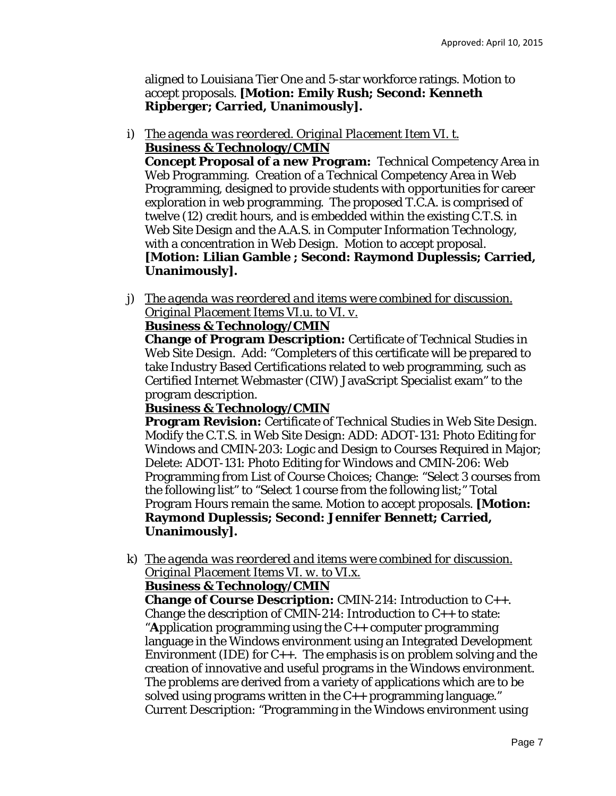aligned to Louisiana Tier One and 5-star workforce ratings. Motion to accept proposals. **[Motion: Emily Rush; Second: Kenneth Ripberger; Carried, Unanimously].** 

i) *The agenda was reordered. Original Placement Item VI. t.*  **Business & Technology/CMIN** 

**Concept Proposal of a new Program:** Technical Competency Area in Web Programming. Creation of a Technical Competency Area in Web Programming, designed to provide students with opportunities for career exploration in web programming. The proposed T.C.A. is comprised of twelve (12) credit hours, and is embedded within the existing C.T.S. in Web Site Design and the A.A.S. in Computer Information Technology, with a concentration in Web Design. Motion to accept proposal. **[Motion: Lilian Gamble ; Second: Raymond Duplessis; Carried, Unanimously].** 

j) *The agenda was reordered and items were combined for discussion. Original Placement Items VI.u. to VI. v.* 

# **Business & Technology/CMIN**

**Change of Program Description:** Certificate of Technical Studies in Web Site Design. Add: "Completers of this certificate will be prepared to take Industry Based Certifications related to web programming, such as Certified Internet Webmaster (CIW) JavaScript Specialist exam" to the program description.

### **Business & Technology/CMIN**

**Program Revision:** Certificate of Technical Studies in Web Site Design. Modify the C.T.S. in Web Site Design: ADD: ADOT-131: Photo Editing for Windows and CMIN-203: Logic and Design to Courses Required in Major; Delete: ADOT-131: Photo Editing for Windows and CMIN-206: Web Programming from List of Course Choices; Change: "Select 3 courses from the following list" *to* "Select 1 course from the following list;" Total Program Hours remain the same. Motion to accept proposals. **[Motion: Raymond Duplessis; Second: Jennifer Bennett; Carried, Unanimously].** 

k) *The agenda was reordered and items were combined for discussion. Original Placement Items VI. w. to VI.x.* 

## **Business & Technology/CMIN**

**Change of Course Description:** CMIN-214: Introduction to C++. Change the description of CMIN-214: Introduction to  $C_{++}$  to state: "**A**pplication programming using the C++ computer programming language in the Windows environment using an Integrated Development Environment (IDE) for  $C_{++}$ . The emphasis is on problem solving and the creation of innovative and useful programs in the Windows environment. The problems are derived from a variety of applications which are to be solved using programs written in the C++ programming language." Current Description: "Programming in the Windows environment using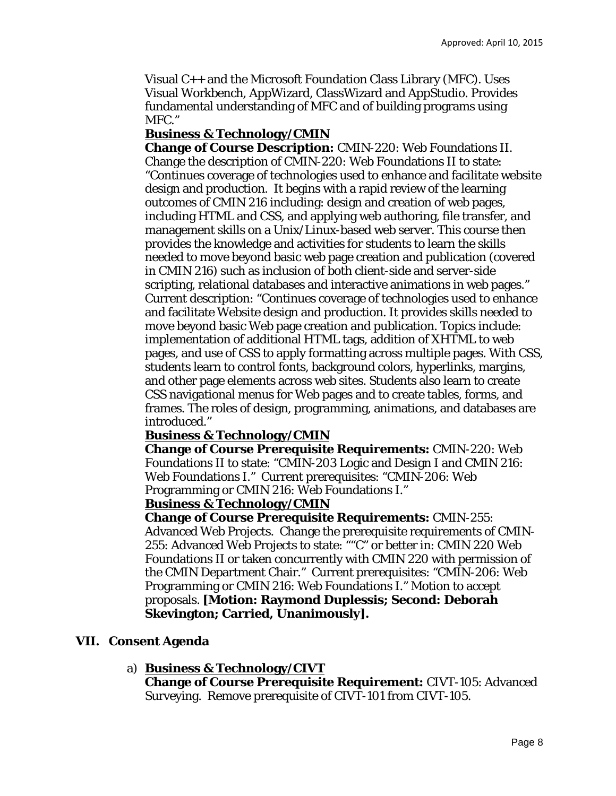Visual C++ and the Microsoft Foundation Class Library (MFC). Uses Visual Workbench, AppWizard, ClassWizard and AppStudio. Provides fundamental understanding of MFC and of building programs using MFC."

#### **Business & Technology/CMIN**

**Change of Course Description:** CMIN-220: Web Foundations II. Change the description of CMIN-220: Web Foundations II to state: "Continues coverage of technologies used to enhance and facilitate website design and production. It begins with a rapid review of the learning outcomes of CMIN 216 including: design and creation of web pages, including HTML and CSS, and applying web authoring, file transfer, and management skills on a Unix/Linux-based web server. This course then provides the knowledge and activities for students to learn the skills needed to move beyond basic web page creation and publication (covered in CMIN 216) such as inclusion of both client-side and server-side scripting, relational databases and interactive animations in web pages." Current description: "Continues coverage of technologies used to enhance and facilitate Website design and production. It provides skills needed to move beyond basic Web page creation and publication. Topics include: implementation of additional HTML tags, addition of XHTML to web pages, and use of CSS to apply formatting across multiple pages. With CSS, students learn to control fonts, background colors, hyperlinks, margins, and other page elements across web sites. Students also learn to create CSS navigational menus for Web pages and to create tables, forms, and frames. The roles of design, programming, animations, and databases are introduced."

### **Business & Technology/CMIN**

**Change of Course Prerequisite Requirements:** CMIN-220: Web Foundations II to state: "CMIN-203 Logic and Design I and CMIN 216: Web Foundations I." Current prerequisites: "CMIN-206: Web Programming or CMIN 216: Web Foundations I."

#### **Business & Technology/CMIN**

**Change of Course Prerequisite Requirements:** CMIN-255: Advanced Web Projects. Change the prerequisite requirements of CMIN-255: Advanced Web Projects to state: ""C" or better in: CMIN 220 Web Foundations II or taken concurrently with CMIN 220 with permission of the CMIN Department Chair." Current prerequisites: "CMIN-206: Web Programming or CMIN 216: Web Foundations I." Motion to accept proposals. **[Motion: Raymond Duplessis; Second: Deborah Skevington; Carried, Unanimously].** 

#### **VII. Consent Agenda**

#### a) **Business & Technology/CIVT**

**Change of Course Prerequisite Requirement:** CIVT-105: Advanced Surveying. Remove prerequisite of CIVT-101 from CIVT-105.